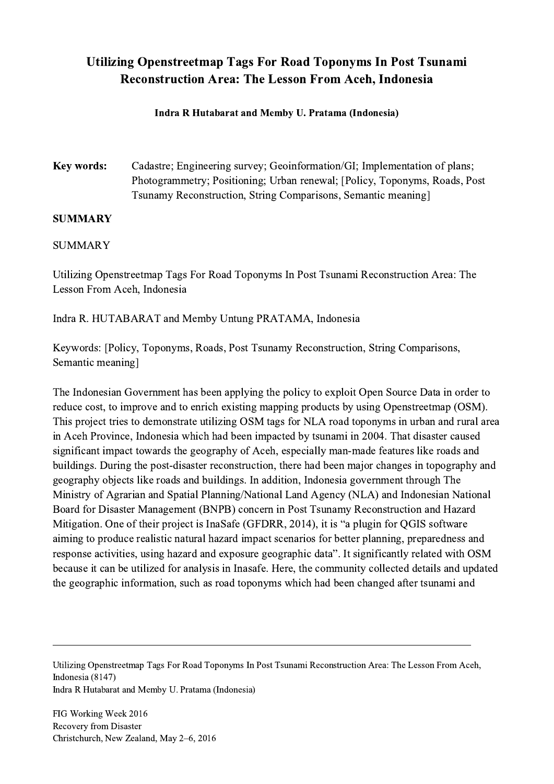## Utilizing Openstreetmap Tags For Road Toponyms In Post Tsunami Reconstruction Area: The Lesson From Aceh, Indonesia

## Indra R Hutabarat and Memby U. Pratama (Indonesia)

Key words: Cadastre; Engineering survey; Geoinformation/GI; Implementation of plans; Photogrammetry; Positioning; Urban renewal; [Policy, Toponyms, Roads, Post Tsunamy Reconstruction, String Comparisons, Semantic meaning]

## **SUMMARY**

## SUMMARY

Utilizing Openstreetmap Tags For Road Toponyms In Post Tsunami Reconstruction Area: The Lesson From Aceh, Indonesia

Indra R. HUTABARAT and Memby Untung PRATAMA, Indonesia

Keywords: [Policy, Toponyms, Roads, Post Tsunamy Reconstruction, String Comparisons, Semantic meaning]

The Indonesian Government has been applying the policy to exploit Open Source Data in order to reduce cost, to improve and to enrich existing mapping products by using Openstreetmap (OSM). This project tries to demonstrate utilizing OSM tags for NLA road toponyms in urban and rural area in Aceh Province, Indonesia which had been impacted by tsunami in 2004. That disaster caused significant impact towards the geography of Aceh, especially man-made features like roads and buildings. During the post-disaster reconstruction, there had been major changes in topography and geography objects like roads and buildings. In addition, Indonesia government through The Ministry of Agrarian and Spatial Planning/National Land Agency (NLA) and Indonesian National Board for Disaster Management (BNPB) concern in Post Tsunamy Reconstruction and Hazard Mitigation. One of their project is InaSafe (GFDRR, 2014), it is "a plugin for QGIS software aiming to produce realistic natural hazard impact scenarios for better planning, preparedness and response activities, using hazard and exposure geographic data". It significantly related with OSM because it can be utilized for analysis in Inasafe. Here, the community collected details and updated the geographic information, such as road toponyms which had been changed after tsunami and

Utilizing Openstreetmap Tags For Road Toponyms In Post Tsunami Reconstruction Area: The Lesson From Aceh, Indonesia (8147) Indra R Hutabarat and Memby U. Pratama (Indonesia)

 $\mathcal{L}_\mathcal{L} = \{ \mathcal{L}_\mathcal{L} = \{ \mathcal{L}_\mathcal{L} = \{ \mathcal{L}_\mathcal{L} = \{ \mathcal{L}_\mathcal{L} = \{ \mathcal{L}_\mathcal{L} = \{ \mathcal{L}_\mathcal{L} = \{ \mathcal{L}_\mathcal{L} = \{ \mathcal{L}_\mathcal{L} = \{ \mathcal{L}_\mathcal{L} = \{ \mathcal{L}_\mathcal{L} = \{ \mathcal{L}_\mathcal{L} = \{ \mathcal{L}_\mathcal{L} = \{ \mathcal{L}_\mathcal{L} = \{ \mathcal{L}_\mathcal{$ 

FIG Working Week 2016 Recovery from Disaster Christchurch, New Zealand, May 2–6, 2016